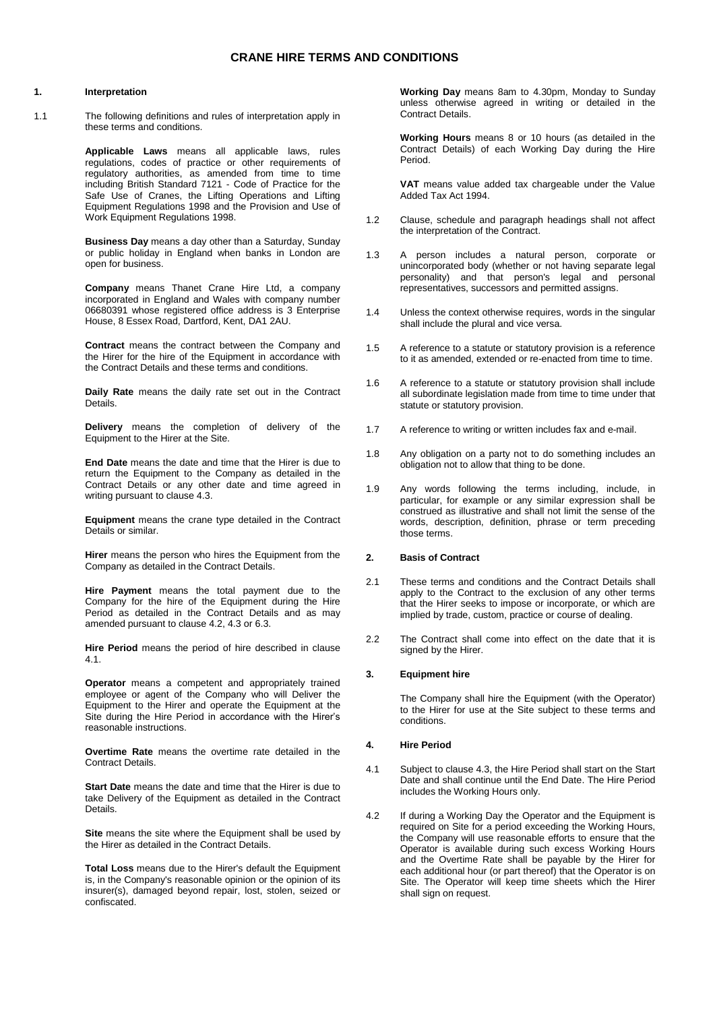## **CRANE HIRE TERMS AND CONDITIONS**

#### **1. Interpretation**

1.1 The following definitions and rules of interpretation apply in these terms and conditions.

> **Applicable Laws** means all applicable laws, rules regulations, codes of practice or other requirements of regulatory authorities, as amended from time to time including British Standard 7121 - Code of Practice for the Safe Use of Cranes, the Lifting Operations and Lifting Equipment Regulations 1998 and the Provision and Use of Work Equipment Regulations 1998.

> **Business Day** means a day other than a Saturday, Sunday or public holiday in England when banks in London are open for business.

> **Company** means Thanet Crane Hire Ltd, a company incorporated in England and Wales with company number 06680391 whose registered office address is 3 Enterprise House, 8 Essex Road, Dartford, Kent, DA1 2AU.

> **Contract** means the contract between the Company and the Hirer for the hire of the Equipment in accordance with the Contract Details and these terms and conditions.

> **Daily Rate** means the daily rate set out in the Contract Details.

> **Delivery** means the completion of delivery of the Equipment to the Hirer at the Site.

> **End Date** means the date and time that the Hirer is due to return the Equipment to the Company as detailed in the Contract Details or any other date and time agreed in writing pursuant to clause 4.3.

> **Equipment** means the crane type detailed in the Contract Details or similar.

> **Hirer** means the person who hires the Equipment from the Company as detailed in the Contract Details.

**Hire Payment** means the total payment due to the Company for the hire of the Equipment during the Hire Period as detailed in the Contract Details and as may amended pursuant to clause 4.2, 4.3 or 6.3.

**Hire Period** means the period of hire described in clause 4.1.

**Operator** means a competent and appropriately trained employee or agent of the Company who will Deliver the Equipment to the Hirer and operate the Equipment at the Site during the Hire Period in accordance with the Hirer's reasonable instructions.

**Overtime Rate** means the overtime rate detailed in the Contract Details.

**Start Date** means the date and time that the Hirer is due to take Delivery of the Equipment as detailed in the Contract Details.

**Site** means the site where the Equipment shall be used by the Hirer as detailed in the Contract Details.

**Total Loss** means due to the Hirer's default the Equipment is, in the Company's reasonable opinion or the opinion of its insurer(s), damaged beyond repair, lost, stolen, seized or confiscated.

**Working Day** means 8am to 4.30pm, Monday to Sunday unless otherwise agreed in writing or detailed in the Contract Details.

**Working Hours** means 8 or 10 hours (as detailed in the Contract Details) of each Working Day during the Hire Period.

**VAT** means value added tax chargeable under the Value Added Tax Act 1994.

- 1.2 Clause, schedule and paragraph headings shall not affect the interpretation of the Contract.
- 1.3 A person includes a natural person, corporate or unincorporated body (whether or not having separate legal personality) and that person's legal and personal representatives, successors and permitted assigns.
- 1.4 Unless the context otherwise requires, words in the singular shall include the plural and vice versa.
- 1.5 A reference to a statute or statutory provision is a reference to it as amended, extended or re-enacted from time to time.
- 1.6 A reference to a statute or statutory provision shall include all subordinate legislation made from time to time under that statute or statutory provision.
- 1.7 A reference to writing or written includes fax and e-mail.
- 1.8 Any obligation on a party not to do something includes an obligation not to allow that thing to be done.
- 1.9 Any words following the terms including, include, in particular, for example or any similar expression shall be construed as illustrative and shall not limit the sense of the words, description, definition, phrase or term preceding those terms.

# **2. Basis of Contract**

- 2.1 These terms and conditions and the Contract Details shall apply to the Contract to the exclusion of any other terms that the Hirer seeks to impose or incorporate, or which are implied by trade, custom, practice or course of dealing.
- 2.2 The Contract shall come into effect on the date that it is signed by the Hirer.

### **3. Equipment hire**

The Company shall hire the Equipment (with the Operator) to the Hirer for use at the Site subject to these terms and conditions.

### **4. Hire Period**

- 4.1 Subject to clause 4.3, the Hire Period shall start on the Start Date and shall continue until the End Date. The Hire Period includes the Working Hours only.
- 4.2 If during a Working Day the Operator and the Equipment is required on Site for a period exceeding the Working Hours, the Company will use reasonable efforts to ensure that the Operator is available during such excess Working Hours and the Overtime Rate shall be payable by the Hirer for each additional hour (or part thereof) that the Operator is on Site. The Operator will keep time sheets which the Hirer shall sign on request.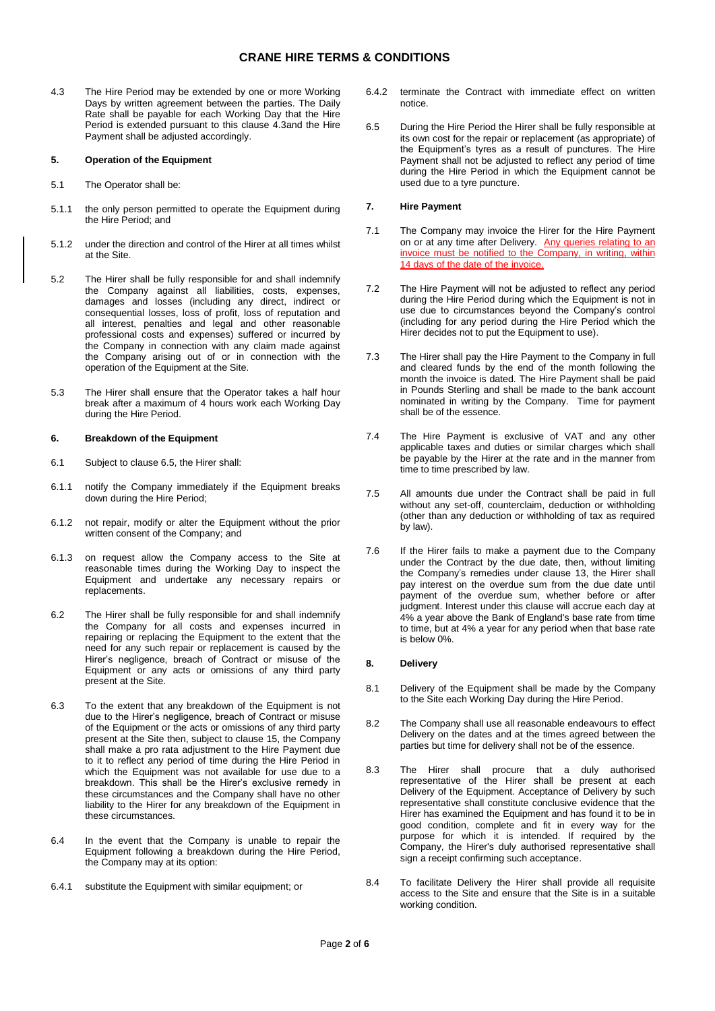# **CRANE HIRE TERMS & CONDITIONS**

4.3 The Hire Period may be extended by one or more Working Days by written agreement between the parties. The Daily Rate shall be payable for each Working Day that the Hire Period is extended pursuant to this clause 4.3and the Hire Payment shall be adjusted accordingly.

#### **5. Operation of the Equipment**

- 5.1 The Operator shall be:
- 5.1.1 the only person permitted to operate the Equipment during the Hire Period; and
- 5.1.2 under the direction and control of the Hirer at all times whilst at the Site.
- 5.2 The Hirer shall be fully responsible for and shall indemnify the Company against all liabilities, costs, expenses, damages and losses (including any direct, indirect or consequential losses, loss of profit, loss of reputation and all interest, penalties and legal and other reasonable professional costs and expenses) suffered or incurred by the Company in connection with any claim made against the Company arising out of or in connection with the operation of the Equipment at the Site.
- 5.3 The Hirer shall ensure that the Operator takes a half hour break after a maximum of 4 hours work each Working Day during the Hire Period.

### **6. Breakdown of the Equipment**

- 6.1 Subject to clause 6.5, the Hirer shall:
- 6.1.1 notify the Company immediately if the Equipment breaks down during the Hire Period;
- 6.1.2 not repair, modify or alter the Equipment without the prior written consent of the Company; and
- 6.1.3 on request allow the Company access to the Site at reasonable times during the Working Day to inspect the Equipment and undertake any necessary repairs or replacements.
- 6.2 The Hirer shall be fully responsible for and shall indemnify the Company for all costs and expenses incurred in repairing or replacing the Equipment to the extent that the need for any such repair or replacement is caused by the Hirer's negligence, breach of Contract or misuse of the Equipment or any acts or omissions of any third party present at the Site.
- 6.3 To the extent that any breakdown of the Equipment is not due to the Hirer's negligence, breach of Contract or misuse of the Equipment or the acts or omissions of any third party present at the Site then, subject to clause 15, the Company shall make a pro rata adjustment to the Hire Payment due to it to reflect any period of time during the Hire Period in which the Equipment was not available for use due to a breakdown. This shall be the Hirer's exclusive remedy in these circumstances and the Company shall have no other liability to the Hirer for any breakdown of the Equipment in these circumstances.
- 6.4 In the event that the Company is unable to repair the Equipment following a breakdown during the Hire Period, the Company may at its option:
- 6.4.1 substitute the Equipment with similar equipment; or
- 6.4.2 terminate the Contract with immediate effect on written notice.
- 6.5 During the Hire Period the Hirer shall be fully responsible at its own cost for the repair or replacement (as appropriate) of the Equipment's tyres as a result of punctures. The Hire Payment shall not be adjusted to reflect any period of time during the Hire Period in which the Equipment cannot be used due to a tyre puncture.

## **7. Hire Payment**

- 7.1 The Company may invoice the Hirer for the Hire Payment on or at any time after Delivery. Any queries relating to an invoice must be notified to the Company, in writing, within 14 days of the date of the invoice.
- 7.2 The Hire Payment will not be adjusted to reflect any period during the Hire Period during which the Equipment is not in use due to circumstances beyond the Company's control (including for any period during the Hire Period which the Hirer decides not to put the Equipment to use).
- 7.3 The Hirer shall pay the Hire Payment to the Company in full and cleared funds by the end of the month following the month the invoice is dated. The Hire Payment shall be paid in Pounds Sterling and shall be made to the bank account nominated in writing by the Company. Time for payment shall be of the essence.
- 7.4 The Hire Payment is exclusive of VAT and any other applicable taxes and duties or similar charges which shall be payable by the Hirer at the rate and in the manner from time to time prescribed by law.
- 7.5 All amounts due under the Contract shall be paid in full without any set-off, counterclaim, deduction or withholding (other than any deduction or withholding of tax as required by law).
- <span id="page-1-0"></span>7.6 If the Hirer fails to make a payment due to the Company under the Contract by the due date, then, without limiting the Company's remedies under clause [13,](#page-3-0) the Hirer shall pay interest on the overdue sum from the due date until payment of the overdue sum, whether before or after judgment. Interest under this clause will accrue each day at 4% a year above the Bank of England's base rate from time to time, but at 4% a year for any period when that base rate is below 0%.

### **8. Delivery**

- 8.1 Delivery of the Equipment shall be made by the Company to the Site each Working Day during the Hire Period.
- 8.2 The Company shall use all reasonable endeavours to effect Delivery on the dates and at the times agreed between the parties but time for delivery shall not be of the essence.
- 8.3 The Hirer shall procure that a duly authorised representative of the Hirer shall be present at each Delivery of the Equipment. Acceptance of Delivery by such representative shall constitute conclusive evidence that the Hirer has examined the Equipment and has found it to be in good condition, complete and fit in every way for the purpose for which it is intended. If required by the Company, the Hirer's duly authorised representative shall sign a receipt confirming such acceptance.
- 8.4 To facilitate Delivery the Hirer shall provide all requisite access to the Site and ensure that the Site is in a suitable working condition.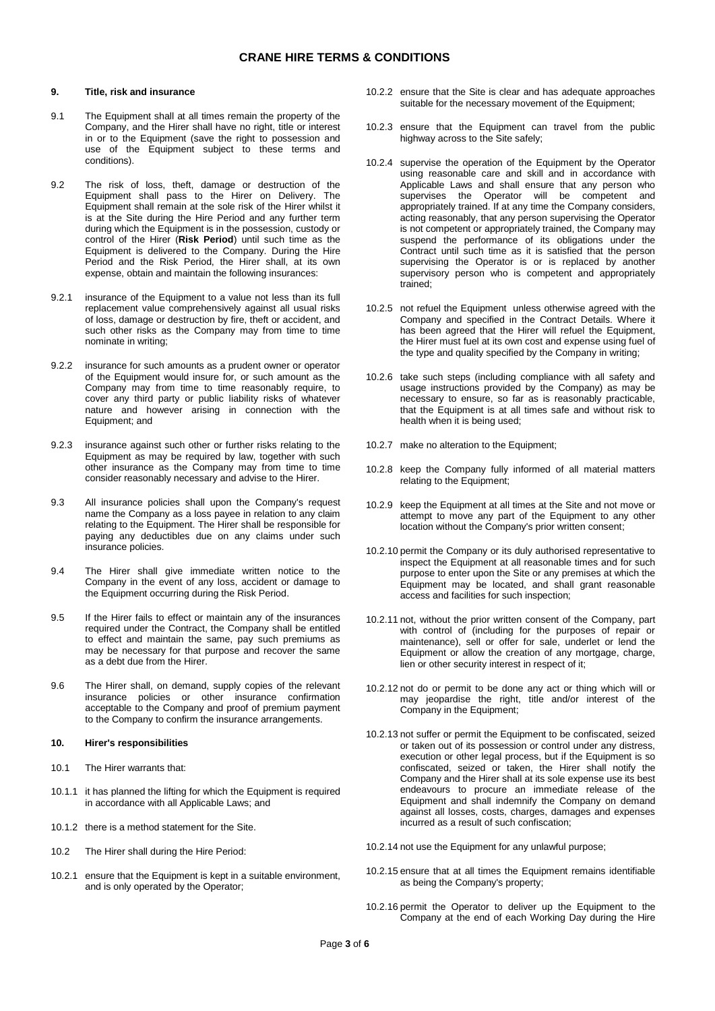## <span id="page-2-0"></span>**9. Title, risk and insurance**

- 9.1 The Equipment shall at all times remain the property of the Company, and the Hirer shall have no right, title or interest in or to the Equipment (save the right to possession and use of the Equipment subject to these terms and conditions).
- 9.2 The risk of loss, theft, damage or destruction of the Equipment shall pass to the Hirer on Delivery. The Equipment shall remain at the sole risk of the Hirer whilst it is at the Site during the Hire Period and any further term during which the Equipment is in the possession, custody or control of the Hirer (**Risk Period**) until such time as the Equipment is delivered to the Company. During the Hire Period and the Risk Period, the Hirer shall, at its own expense, obtain and maintain the following insurances:
- 9.2.1 insurance of the Equipment to a value not less than its full replacement value comprehensively against all usual risks of loss, damage or destruction by fire, theft or accident, and such other risks as the Company may from time to time nominate in writing;
- 9.2.2 insurance for such amounts as a prudent owner or operator of the Equipment would insure for, or such amount as the Company may from time to time reasonably require, to cover any third party or public liability risks of whatever nature and however arising in connection with the Equipment; and
- 9.2.3 insurance against such other or further risks relating to the Equipment as may be required by law, together with such other insurance as the Company may from time to time consider reasonably necessary and advise to the Hirer.
- 9.3 All insurance policies shall upon the Company's request name the Company as a loss payee in relation to any claim relating to the Equipment. The Hirer shall be responsible for paying any deductibles due on any claims under such insurance policies.
- 9.4 The Hirer shall give immediate written notice to the Company in the event of any loss, accident or damage to the Equipment occurring during the Risk Period.
- 9.5 If the Hirer fails to effect or maintain any of the insurances required under the Contract, the Company shall be entitled to effect and maintain the same, pay such premiums as may be necessary for that purpose and recover the same as a debt due from the Hirer.
- 9.6 The Hirer shall, on demand, supply copies of the relevant insurance policies or other insurance confirmation acceptable to the Company and proof of premium payment to the Company to confirm the insurance arrangements.

# **10. Hirer's responsibilities**

- 10.1 The Hirer warrants that:
- 10.1.1 it has planned the lifting for which the Equipment is required in accordance with all Applicable Laws; and
- 10.1.2 there is a method statement for the Site.
- 10.2 The Hirer shall during the Hire Period:
- 10.2.1 ensure that the Equipment is kept in a suitable environment, and is only operated by the Operator;
- 10.2.2 ensure that the Site is clear and has adequate approaches suitable for the necessary movement of the Equipment;
- 10.2.3 ensure that the Equipment can travel from the public highway across to the Site safely;
- 10.2.4 supervise the operation of the Equipment by the Operator using reasonable care and skill and in accordance with Applicable Laws and shall ensure that any person who supervises the Operator will be competent and appropriately trained. If at any time the Company considers, acting reasonably, that any person supervising the Operator is not competent or appropriately trained, the Company may suspend the performance of its obligations under the Contract until such time as it is satisfied that the person supervising the Operator is or is replaced by another supervisory person who is competent and appropriately trained;
- 10.2.5 not refuel the Equipment unless otherwise agreed with the Company and specified in the Contract Details. Where it has been agreed that the Hirer will refuel the Equipment, the Hirer must fuel at its own cost and expense using fuel of the type and quality specified by the Company in writing;
- 10.2.6 take such steps (including compliance with all safety and usage instructions provided by the Company) as may be necessary to ensure, so far as is reasonably practicable, that the Equipment is at all times safe and without risk to health when it is being used;
- 10.2.7 make no alteration to the Equipment;
- 10.2.8 keep the Company fully informed of all material matters relating to the Equipment;
- 10.2.9 keep the Equipment at all times at the Site and not move or attempt to move any part of the Equipment to any other location without the Company's prior written consent;
- 10.2.10 permit the Company or its duly authorised representative to inspect the Equipment at all reasonable times and for such purpose to enter upon the Site or any premises at which the Equipment may be located, and shall grant reasonable access and facilities for such inspection;
- 10.2.11 not, without the prior written consent of the Company, part with control of (including for the purposes of repair or maintenance), sell or offer for sale, underlet or lend the Equipment or allow the creation of any mortgage, charge, lien or other security interest in respect of it;
- 10.2.12 not do or permit to be done any act or thing which will or may jeopardise the right, title and/or interest of the Company in the Equipment;
- 10.2.13 not suffer or permit the Equipment to be confiscated, seized or taken out of its possession or control under any distress, execution or other legal process, but if the Equipment is so confiscated, seized or taken, the Hirer shall notify the Company and the Hirer shall at its sole expense use its best endeavours to procure an immediate release of the Equipment and shall indemnify the Company on demand against all losses, costs, charges, damages and expenses incurred as a result of such confiscation;
- 10.2.14 not use the Equipment for any unlawful purpose;
- 10.2.15 ensure that at all times the Equipment remains identifiable as being the Company's property;
- 10.2.16 permit the Operator to deliver up the Equipment to the Company at the end of each Working Day during the Hire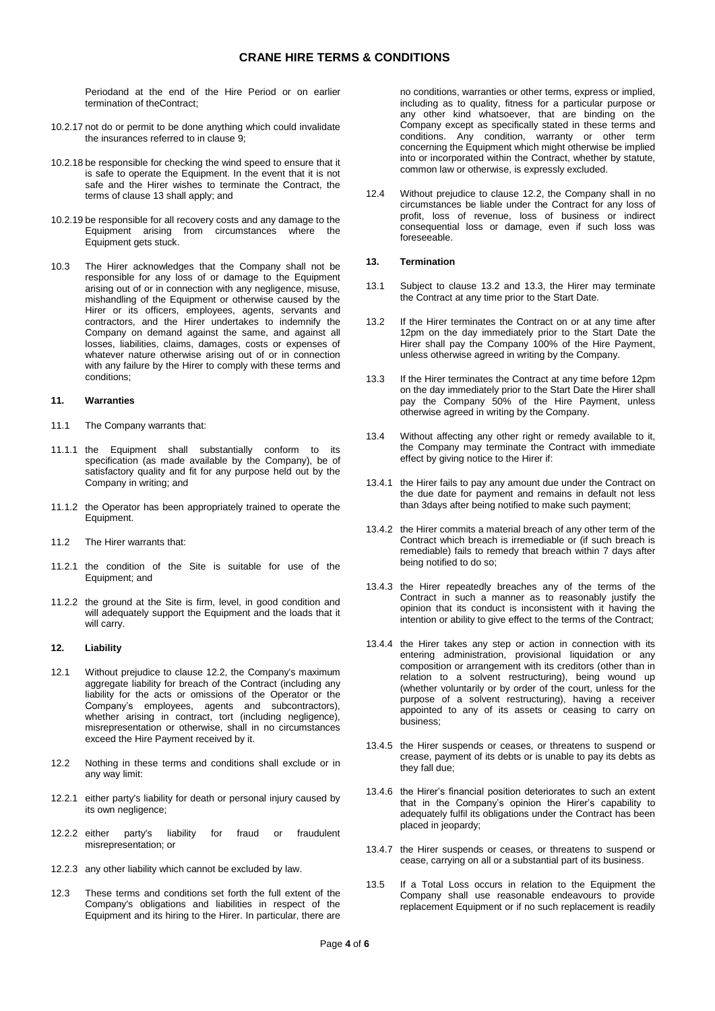Periodand at the end of the Hire Period or on earlier termination of theContract;

- 10.2.17 not do or permit to be done anything which could invalidate the insurances referred to in clause [9;](#page-2-0)
- 10.2.18 be responsible for checking the wind speed to ensure that it is safe to operate the Equipment. In the event that it is not safe and the Hirer wishes to terminate the Contract, the terms of clause 13 shall apply; and
- 10.2.19 be responsible for all recovery costs and any damage to the Equipment arising from circumstances where the Equipment gets stuck.
- 10.3 The Hirer acknowledges that the Company shall not be responsible for any loss of or damage to the Equipment arising out of or in connection with any negligence, misuse, mishandling of the Equipment or otherwise caused by the Hirer or its officers, employees, agents, servants and contractors, and the Hirer undertakes to indemnify the Company on demand against the same, and against all losses, liabilities, claims, damages, costs or expenses of whatever nature otherwise arising out of or in connection with any failure by the Hirer to comply with these terms and conditions;

#### **11. Warranties**

- 11.1 The Company warrants that:
- 11.1.1 the Equipment shall substantially conform to its specification (as made available by the Company), be of satisfactory quality and fit for any purpose held out by the Company in writing; and
- 11.1.2 the Operator has been appropriately trained to operate the Equipment.
- 11.2 The Hirer warrants that:
- 11.2.1 the condition of the Site is suitable for use of the Equipment; and
- 11.2.2 the ground at the Site is firm, level, in good condition and will adequately support the Equipment and the loads that it will carry.

#### **12. Liability**

- 12.1 Without prejudice to clause [12.2,](#page-3-1) the Company's maximum aggregate liability for breach of the Contract (including any liability for the acts or omissions of the Operator or the Company's employees, agents and subcontractors), whether arising in contract, tort (including negligence), misrepresentation or otherwise, shall in no circumstances exceed the Hire Payment received by it.
- <span id="page-3-1"></span>12.2 Nothing in these terms and conditions shall exclude or in any way limit:
- 12.2.1 either party's liability for death or personal injury caused by its own negligence;
- 12.2.2 either party's liability for fraud or fraudulent misrepresentation; or
- 12.2.3 any other liability which cannot be excluded by law.
- 12.3 These terms and conditions set forth the full extent of the Company's obligations and liabilities in respect of the Equipment and its hiring to the Hirer. In particular, there are

no conditions, warranties or other terms, express or implied, including as to quality, fitness for a particular purpose or any other kind whatsoever, that are binding on the Company except as specifically stated in these terms and conditions. Any condition, warranty or other term concerning the Equipment which might otherwise be implied into or incorporated within the Contract, whether by statute, common law or otherwise, is expressly excluded.

12.4 Without prejudice to clause [12.2,](#page-3-1) the Company shall in no circumstances be liable under the Contract for any loss of profit, loss of revenue, loss of business or indirect consequential loss or damage, even if such loss was foreseeable.

### <span id="page-3-0"></span>**13. Termination**

- 13.1 Subject to clause 13.2 and 13.3, the Hirer may terminate the Contract at any time prior to the Start Date.
- 13.2 If the Hirer terminates the Contract on or at any time after 12pm on the day immediately prior to the Start Date the Hirer shall pay the Company 100% of the Hire Payment, unless otherwise agreed in writing by the Company.
- 13.3 If the Hirer terminates the Contract at any time before 12pm on the day immediately prior to the Start Date the Hirer shall pay the Company 50% of the Hire Payment, unless otherwise agreed in writing by the Company.
- 13.4 Without affecting any other right or remedy available to it, the Company may terminate the Contract with immediate effect by giving notice to the Hirer if:
- 13.4.1 the Hirer fails to pay any amount due under the Contract on the due date for payment and remains in default not less than 3days after being notified to make such payment;
- 13.4.2 the Hirer commits a material breach of any other term of the Contract which breach is irremediable or (if such breach is remediable) fails to remedy that breach within 7 days after being notified to do so;
- 13.4.3 the Hirer repeatedly breaches any of the terms of the Contract in such a manner as to reasonably justify the opinion that its conduct is inconsistent with it having the intention or ability to give effect to the terms of the Contract;
- 13.4.4 the Hirer takes any step or action in connection with its entering administration, provisional liquidation or any composition or arrangement with its creditors (other than in relation to a solvent restructuring), being wound up (whether voluntarily or by order of the court, unless for the purpose of a solvent restructuring), having a receiver appointed to any of its assets or ceasing to carry on business;
- 13.4.5 the Hirer suspends or ceases, or threatens to suspend or crease, payment of its debts or is unable to pay its debts as they fall due;
- 13.4.6 the Hirer's financial position deteriorates to such an extent that in the Company's opinion the Hirer's capability to adequately fulfil its obligations under the Contract has been placed in jeopardy;
- 13.4.7 the Hirer suspends or ceases, or threatens to suspend or cease, carrying on all or a substantial part of its business.
- 13.5 If a Total Loss occurs in relation to the Equipment the Company shall use reasonable endeavours to provide replacement Equipment or if no such replacement is readily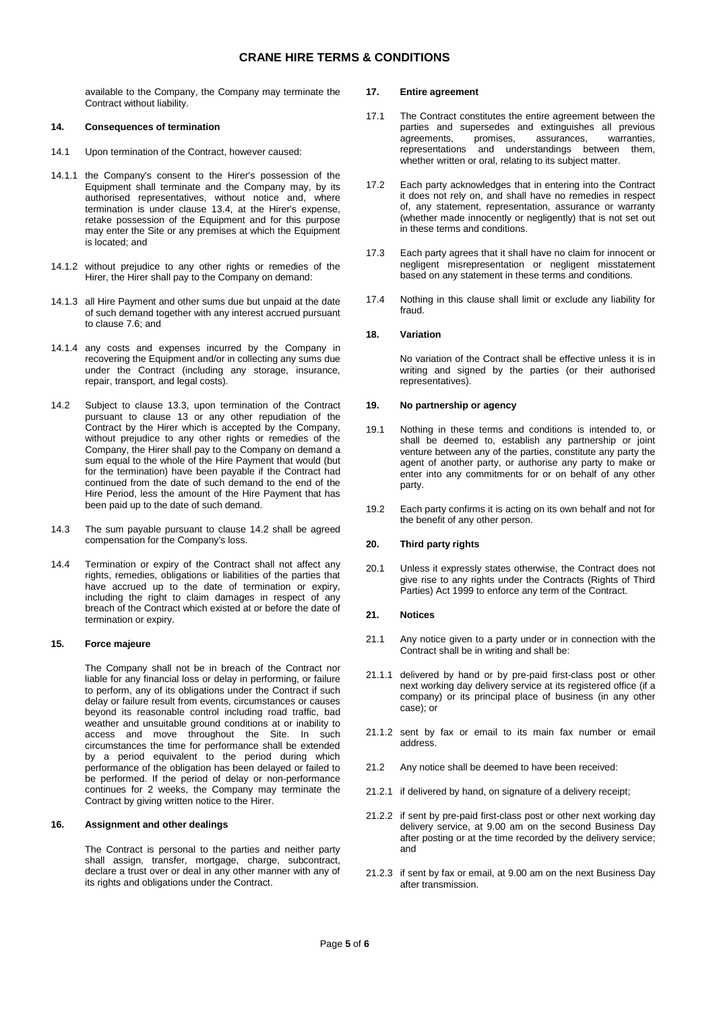# **CRANE HIRE TERMS & CONDITIONS**

available to the Company, the Company may terminate the Contract without liability.

#### **14. Consequences of termination**

- 14.1 Upon termination of the Contract, however caused:
- 14.1.1 the Company's consent to the Hirer's possession of the Equipment shall terminate and the Company may, by its authorised representatives, without notice and, where termination is under clause 13.4, at the Hirer's expense, retake possession of the Equipment and for this purpose may enter the Site or any premises at which the Equipment is located; and
- 14.1.2 without prejudice to any other rights or remedies of the Hirer, the Hirer shall pay to the Company on demand:
- 14.1.3 all Hire Payment and other sums due but unpaid at the date of such demand together with any interest accrued pursuant to claus[e 7.6;](#page-1-0) and
- 14.1.4 any costs and expenses incurred by the Company in recovering the Equipment and/or in collecting any sums due under the Contract (including any storage, insurance, repair, transport, and legal costs).
- <span id="page-4-0"></span>14.2 Subject to clause 13.3, upon termination of the Contract pursuant to clause 13 or any other repudiation of the Contract by the Hirer which is accepted by the Company, without prejudice to any other rights or remedies of the Company, the Hirer shall pay to the Company on demand a sum equal to the whole of the Hire Payment that would (but for the termination) have been payable if the Contract had continued from the date of such demand to the end of the Hire Period, less the amount of the Hire Payment that has been paid up to the date of such demand.
- 14.3 The sum payable pursuant to clause [14.2](#page-4-0) shall be agreed compensation for the Company's loss.
- 14.4 Termination or expiry of the Contract shall not affect any rights, remedies, obligations or liabilities of the parties that have accrued up to the date of termination or expiry, including the right to claim damages in respect of any breach of the Contract which existed at or before the date of termination or expiry.

### **15. Force majeure**

The Company shall not be in breach of the Contract nor liable for any financial loss or delay in performing, or failure to perform, any of its obligations under the Contract if such delay or failure result from events, circumstances or causes beyond its reasonable control including road traffic, bad weather and unsuitable ground conditions at or inability to access and move throughout the Site. In such circumstances the time for performance shall be extended by a period equivalent to the period during which performance of the obligation has been delayed or failed to be performed. If the period of delay or non-performance continues for 2 weeks, the Company may terminate the Contract by giving written notice to the Hirer.

#### **16. Assignment and other dealings**

The Contract is personal to the parties and neither party shall assign, transfer, mortgage, charge, subcontract, declare a trust over or deal in any other manner with any of its rights and obligations under the Contract.

### **17. Entire agreement**

- 17.1 The Contract constitutes the entire agreement between the parties and supersedes and extinguishes all previous agreements, promises, assurances, warranties, assurances, warranties,<br>standings between them, representations and understandings between whether written or oral, relating to its subject matter.
- 17.2 Each party acknowledges that in entering into the Contract it does not rely on, and shall have no remedies in respect of, any statement, representation, assurance or warranty (whether made innocently or negligently) that is not set out in these terms and conditions.
- 17.3 Each party agrees that it shall have no claim for innocent or negligent misrepresentation or negligent misstatement based on any statement in these terms and conditions.
- 17.4 Nothing in this clause shall limit or exclude any liability for fraud.

## **18. Variation**

No variation of the Contract shall be effective unless it is in writing and signed by the parties (or their authorised representatives).

## **19. No partnership or agency**

- 19.1 Nothing in these terms and conditions is intended to, or shall be deemed to, establish any partnership or joint venture between any of the parties, constitute any party the agent of another party, or authorise any party to make or enter into any commitments for or on behalf of any other party.
- 19.2 Each party confirms it is acting on its own behalf and not for the benefit of any other person.

## **20. Third party rights**

20.1 Unless it expressly states otherwise, the Contract does not give rise to any rights under the Contracts (Rights of Third Parties) Act 1999 to enforce any term of the Contract.

### **21. Notices**

- 21.1 Any notice given to a party under or in connection with the Contract shall be in writing and shall be:
- 21.1.1 delivered by hand or by pre-paid first-class post or other next working day delivery service at its registered office (if a company) or its principal place of business (in any other case); or
- 21.1.2 sent by fax or email to its main fax number or email address.
- 21.2 Any notice shall be deemed to have been received:
- 21.2.1 if delivered by hand, on signature of a delivery receipt;
- 21.2.2 if sent by pre-paid first-class post or other next working day delivery service, at 9.00 am on the second Business Day after posting or at the time recorded by the delivery service; and
- 21.2.3 if sent by fax or email, at 9.00 am on the next Business Day after transmission.